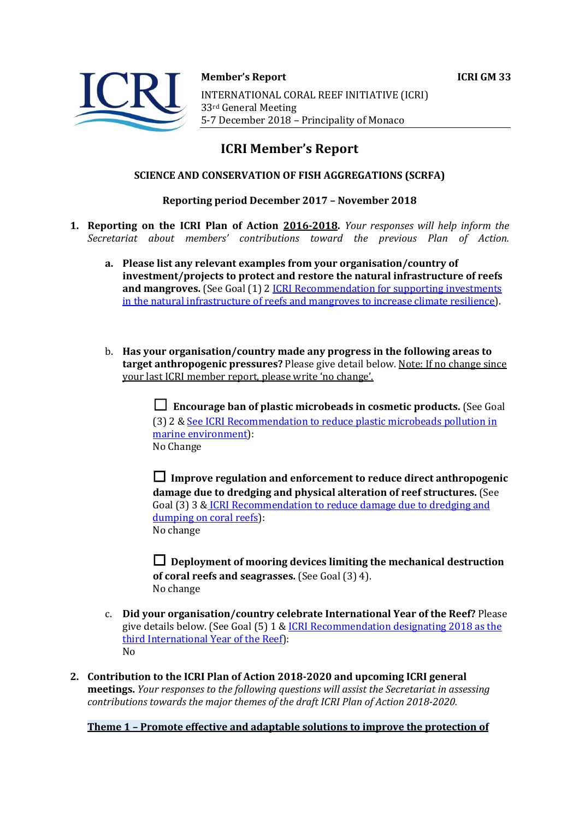



**Member's Report ICRI GM 33** INTERNATIONAL CORAL REEF INITIATIVE (ICRI) 33rd General Meeting 5-7 December 2018 - Principality of Monaco

# **ICRI Member's Report**

# **SCIENCE AND CONSERVATION OF FISH AGGREGATIONS (SCRFA)**

## **Reporting period December 2017 – November 2018**

- **1. Reporting on the ICRI Plan of Action 2016-2018.** *Your responses will help inform the Secretariat about members' contributions toward the previous Plan of Action.*
	- a. Please list any relevant examples from your organisation/country of **investment/projects to protect and restore the natural infrastructure of reefs and mangroves.** (See Goal (1) 2 *ICRI Recommendation for supporting investments* in the natural infrastructure of reefs and mangroves to increase climate resilience).
	- b. Has your organisation/country made any progress in the following areas to **target anthropogenic pressures?** Please give detail below. Note: If no change since your last ICRI member report, please write 'no change'.

 $\Box$  **Encourage ban of plastic microbeads in cosmetic products.** (See Goal (3) 2 & See ICRI Recommendation to reduce plastic microbeads pollution in marine environment): No Change

 $\Box$  Improve regulation and enforcement to reduce direct anthropogenic damage due to dredging and physical alteration of reef structures. (See Goal (3) 3 & ICRI Recommendation to reduce damage due to dredging and dumping on coral reefs): No change

 $\Box$  Deployment of mooring devices limiting the mechanical destruction **of coral reefs and seagrasses.** (See Goal (3) 4). No change

- c. **Did your organisation/country celebrate International Year of the Reef?** Please give details below. (See Goal  $(5)$  1 & ICRI Recommendation designating 2018 as the third International Year of the Reef): No
- 2. **Contribution to the ICRI Plan of Action 2018-2020 and upcoming ICRI general meetings.** *Your responses to the following questions will assist the Secretariat in assessing contributions towards the major themes of the draft ICRI Plan of Action 2018-2020.*

**Theme 1** – Promote effective and adaptable solutions to improve the protection of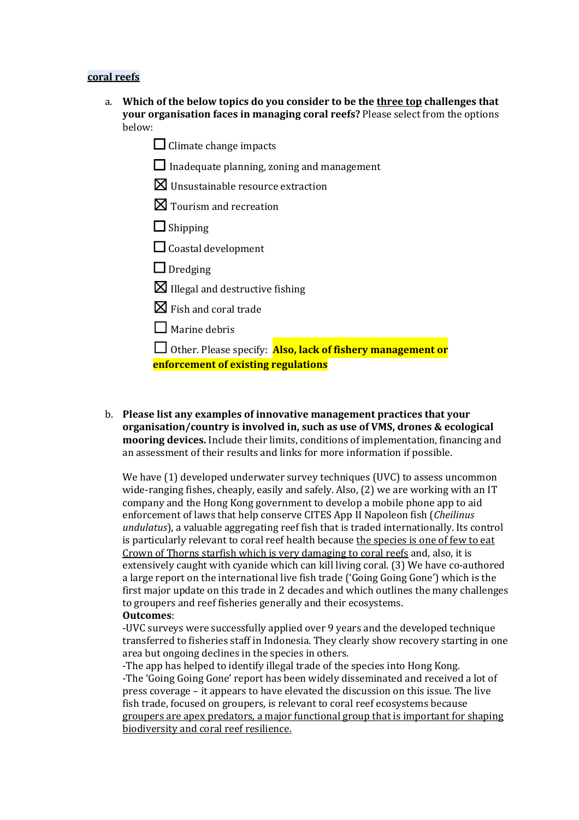#### **coral reefs**

- a. Which of the below topics do you consider to be the three top challenges that **your organisation faces in managing coral reefs?** Please select from the options below:
	- $\Box$  Climate change impacts
	- $\Box$  Inadequate planning, zoning and management
	- $\boxtimes$  Unsustainable resource extraction
	- $\boxtimes$  Tourism and recreation
	- □ Shipping
	- $\Box$  Coastal development
	- $\Box$  Dredging
	- $\boxtimes$  Illegal and destructive fishing
	- $\boxtimes$  Fish and coral trade
	- $\Box$  Marine debris

□ Other. Please specify: **Also, lack of fishery management or enforcement of existing regulations** 

b. Please list any examples of innovative management practices that your **organisation/country is involved in, such as use of VMS, drones & ecological mooring devices.** Include their limits, conditions of implementation, financing and an assessment of their results and links for more information if possible.

We have (1) developed underwater survey techniques (UVC) to assess uncommon wide-ranging fishes, cheaply, easily and safely. Also,  $(2)$  we are working with an IT company and the Hong Kong government to develop a mobile phone app to aid enforcement of laws that help conserve CITES App II Napoleon fish (*Cheilinus* undulatus), a valuable aggregating reef fish that is traded internationally. Its control is particularly relevant to coral reef health because the species is one of few to eat Crown of Thorns starfish which is very damaging to coral reefs and, also, it is extensively caught with cyanide which can kill living coral. (3) We have co-authored a large report on the international live fish trade ('Going Going Gone') which is the first major update on this trade in 2 decades and which outlines the many challenges to groupers and reef fisheries generally and their ecosystems. **Outcomes**:

-UVC surveys were successfully applied over 9 years and the developed technique transferred to fisheries staff in Indonesia. They clearly show recovery starting in one area but ongoing declines in the species in others.

-The app has helped to identify illegal trade of the species into Hong Kong. -The 'Going Going Gone' report has been widely disseminated and received a lot of press coverage  $-$  it appears to have elevated the discussion on this issue. The live fish trade, focused on groupers, is relevant to coral reef ecosystems because groupers are apex predators, a major functional group that is important for shaping biodiversity and coral reef resilience.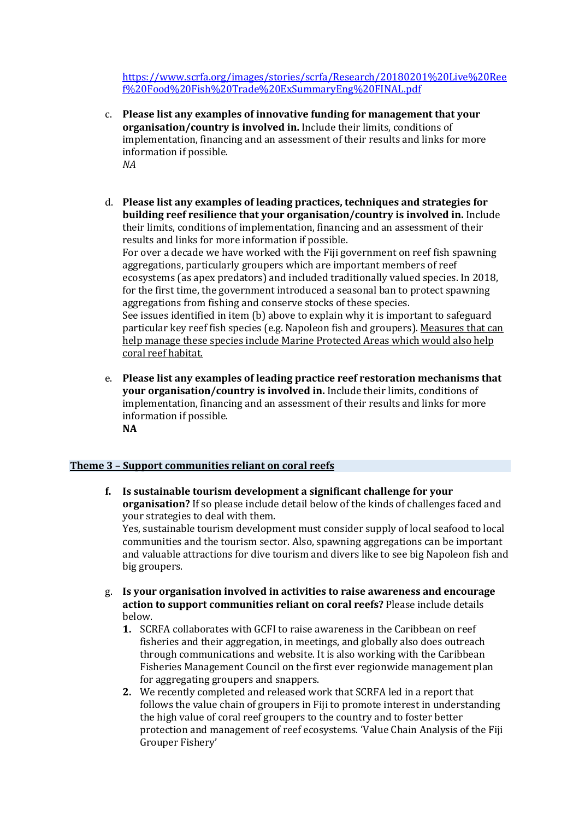https://www.scrfa.org/images/stories/scrfa/Research/20180201%20Live%20Ree f%20Food%20Fish%20Trade%20ExSummaryEng%20FINAL.pdf

- c. Please list any examples of innovative funding for management that your organisation/country is involved in. Include their limits, conditions of implementation, financing and an assessment of their results and links for more information if possible. *NA*
- d. **Please list any examples of leading practices, techniques and strategies for building reef resilience that your organisation/country is involved in.** Include their limits, conditions of implementation, financing and an assessment of their results and links for more information if possible. For over a decade we have worked with the Fiji government on reef fish spawning aggregations, particularly groupers which are important members of reef ecosystems (as apex predators) and included traditionally valued species. In 2018, for the first time, the government introduced a seasonal ban to protect spawning aggregations from fishing and conserve stocks of these species. See issues identified in item (b) above to explain why it is important to safeguard particular key reef fish species (e.g. Napoleon fish and groupers). Measures that can help manage these species include Marine Protected Areas which would also help coral reef habitat.
- e. Please list any examples of leading practice reef restoration mechanisms that **your organisation/country is involved in.** Include their limits, conditions of implementation, financing and an assessment of their results and links for more information if possible. **NA**

#### **Theme 3 - Support communities reliant on coral reefs**

**f.** Is sustainable tourism development a significant challenge for your **organisation?** If so please include detail below of the kinds of challenges faced and your strategies to deal with them.

Yes, sustainable tourism development must consider supply of local seafood to local communities and the tourism sector. Also, spawning aggregations can be important and valuable attractions for dive tourism and divers like to see big Napoleon fish and big groupers.

- g. Is your organisation involved in activities to raise awareness and encourage action to support communities reliant on coral reefs? Please include details below.
	- **1.** SCRFA collaborates with GCFI to raise awareness in the Caribbean on reef fisheries and their aggregation, in meetings, and globally also does outreach through communications and website. It is also working with the Caribbean Fisheries Management Council on the first ever regionwide management plan for aggregating groupers and snappers.
	- **2.** We recently completed and released work that SCRFA led in a report that follows the value chain of groupers in Fiji to promote interest in understanding the high value of coral reef groupers to the country and to foster better protection and management of reef ecosystems. 'Value Chain Analysis of the Fiji Grouper Fishery'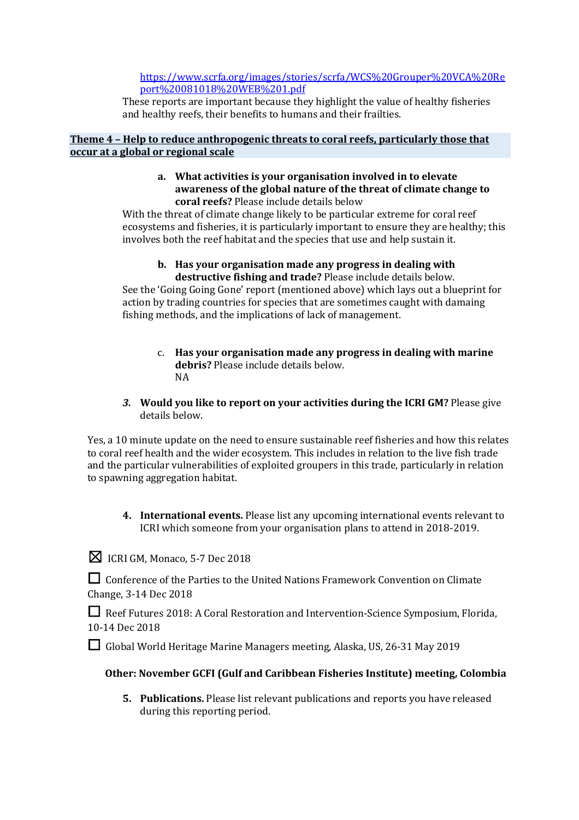## https://www.scrfa.org/images/stories/scrfa/WCS%20Grouper%20VCA%20Re port%20081018%20WEB%201.pdf

These reports are important because they highlight the value of healthy fisheries and healthy reefs, their benefits to humans and their frailties.

## **Theme 4 - Help to reduce anthropogenic threats to coral reefs, particularly those that occur at a global or regional scale**

#### a. What activities is your organisation involved in to elevate awareness of the global nature of the threat of climate change to **coral reefs?** Please include details below

With the threat of climate change likely to be particular extreme for coral reef ecosystems and fisheries, it is particularly important to ensure they are healthy; this involves both the reef habitat and the species that use and help sustain it.

### **b.** Has your organisation made any progress in dealing with **destructive fishing and trade?** Please include details below.

See the 'Going Going Gone' report (mentioned above) which lays out a blueprint for action by trading countries for species that are sometimes caught with damaing fishing methods, and the implications of lack of management.

c. Has your organisation made any progress in dealing with marine **debris?** Please include details below. NA

# **3.** Would you like to report on your activities during the ICRI GM? Please give details below.

Yes, a 10 minute update on the need to ensure sustainable reef fisheries and how this relates to coral reef health and the wider ecosystem. This includes in relation to the live fish trade and the particular vulnerabilities of exploited groupers in this trade, particularly in relation to spawning aggregation habitat.

**4.** International events. Please list any upcoming international events relevant to ICRI which someone from your organisation plans to attend in 2018-2019.

 $\boxtimes$  ICRI GM. Monaco, 5-7 Dec 2018

□ Conference of the Parties to the United Nations Framework Convention on Climate Change, 3-14 Dec 2018

□ Reef Futures 2018: A Coral Restoration and Intervention-Science Symposium, Florida, 10-14 Dec 2018

□ Global World Heritage Marine Managers meeting, Alaska, US, 26-31 May 2019

# **Other: November GCFI (Gulf and Caribbean Fisheries Institute) meeting, Colombia**

**5.** Publications. Please list relevant publications and reports you have released during this reporting period.